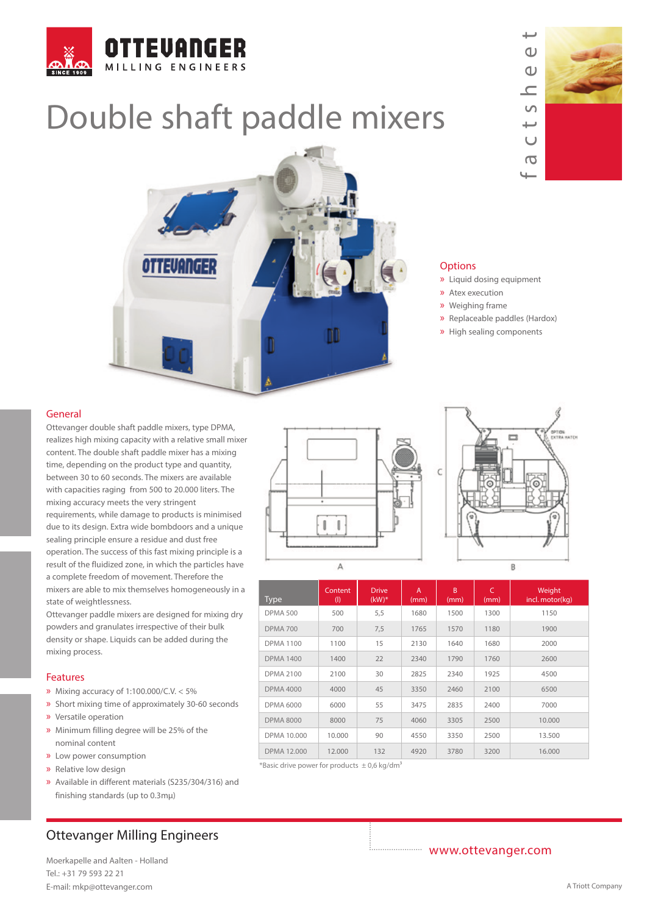

# Double shaft paddle mixers





#### **Options**

- » Liquid dosing equipment
- » Atex execution
- » Weighing frame
- » Replaceable paddles (Hardox)
- » High sealing components

#### General

Ottevanger double shaft paddle mixers, type DPMA, realizes high mixing capacity with a relative small mixer content. The double shaft paddle mixer has a mixing time, depending on the product type and quantity, between 30 to 60 seconds. The mixers are available with capacities raging from 500 to 20.000 liters. The mixing accuracy meets the very stringent requirements, while damage to products is minimised due to its design. Extra wide bombdoors and a unique sealing principle ensure a residue and dust free operation. The success of this fast mixing principle is a result of the fluidized zone, in which the particles have a complete freedom of movement. Therefore the mixers are able to mix themselves homogeneously in a state of weightlessness.

Ottevanger paddle mixers are designed for mixing dry powders and granulates irrespective of their bulk density or shape. Liquids can be added during the mixing process.

#### Features

- » Mixing accuracy of 1:100.000/C.V. < 5%
- » Short mixing time of approximately 30-60 seconds
- » Versatile operation
- » Minimum filling degree will be 25% of the nominal content
- » Low power consumption
- » Relative low design
- » Available in different materials (S235/304/316) and finishing standards (up to 0.3mμ)

## Ottevanger Milling Engineers

Moerkapelle and Aalten - Holland Tel.: +31 79 593 22 21 E-mail: mkp@ottevanger.com **A Triott Company** A Triott Company





| <b>Type</b>        | Content<br>(1) | <b>Drive</b><br>$(kW)*$ | $\overline{A}$<br>(mm) | <sub>B</sub><br>(mm) | $\overline{C}$<br>(mm) | Weight<br>incl. motor(kg) |
|--------------------|----------------|-------------------------|------------------------|----------------------|------------------------|---------------------------|
| <b>DPMA 500</b>    | 500            | 5,5                     | 1680                   | 1500                 | 1300                   | 1150                      |
| <b>DPMA 700</b>    | 700            | 7,5                     | 1765                   | 1570                 | 1180                   | 1900                      |
| <b>DPMA 1100</b>   | 1100           | 15                      | 2130                   | 1640                 | 1680                   | 2000                      |
| <b>DPMA 1400</b>   | 1400           | 22                      | 2340                   | 1790                 | 1760                   | 2600                      |
| <b>DPMA 2100</b>   | 2100           | 30                      | 2825                   | 2340                 | 1925                   | 4500                      |
| <b>DPMA 4000</b>   | 4000           | 45                      | 3350                   | 2460                 | 2100                   | 6500                      |
| <b>DPMA 6000</b>   | 6000           | 55                      | 3475                   | 2835                 | 2400                   | 7000                      |
| <b>DPMA 8000</b>   | 8000           | 75                      | 4060                   | 3305                 | 2500                   | 10.000                    |
| DPMA 10.000        | 10.000         | 90                      | 4550                   | 3350                 | 2500                   | 13.500                    |
| <b>DPMA 12.000</b> | 12.000         | 132                     | 4920                   | 3780                 | 3200                   | 16.000                    |

\*Basic drive power for products  $\pm$  0,6 kg/dm<sup>3</sup>

### www.ottevanger.com